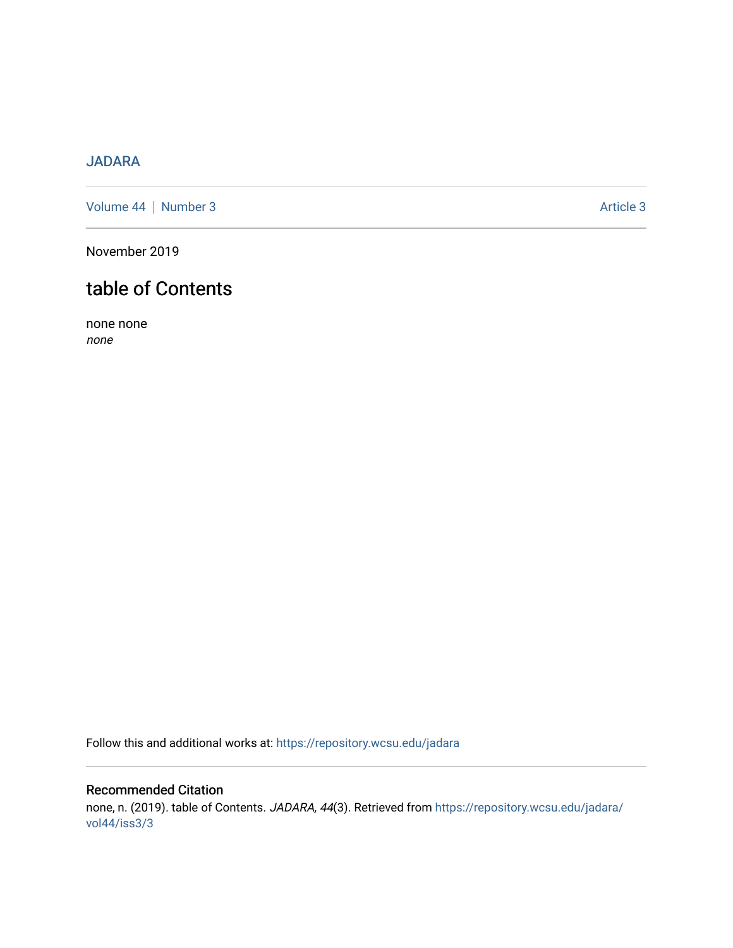## [JADARA](https://repository.wcsu.edu/jadara)

[Volume 44](https://repository.wcsu.edu/jadara/vol44) | [Number 3](https://repository.wcsu.edu/jadara/vol44/iss3) Article 3

November 2019

# table of Contents

none none none

Follow this and additional works at: [https://repository.wcsu.edu/jadara](https://repository.wcsu.edu/jadara?utm_source=repository.wcsu.edu%2Fjadara%2Fvol44%2Fiss3%2F3&utm_medium=PDF&utm_campaign=PDFCoverPages)

## Recommended Citation none, n. (2019). table of Contents. JADARA, 44(3). Retrieved from [https://repository.wcsu.edu/jadara/](https://repository.wcsu.edu/jadara/vol44/iss3/3?utm_source=repository.wcsu.edu%2Fjadara%2Fvol44%2Fiss3%2F3&utm_medium=PDF&utm_campaign=PDFCoverPages) [vol44/iss3/3](https://repository.wcsu.edu/jadara/vol44/iss3/3?utm_source=repository.wcsu.edu%2Fjadara%2Fvol44%2Fiss3%2F3&utm_medium=PDF&utm_campaign=PDFCoverPages)